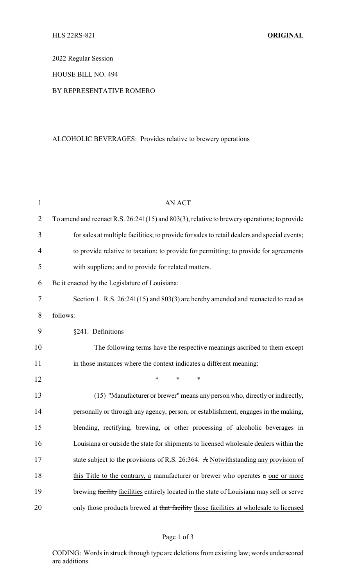2022 Regular Session

HOUSE BILL NO. 494

## BY REPRESENTATIVE ROMERO

## ALCOHOLIC BEVERAGES: Provides relative to brewery operations

| $\mathbf{1}$   | <b>AN ACT</b>                                                                                |  |  |
|----------------|----------------------------------------------------------------------------------------------|--|--|
| $\overline{2}$ | To amend and reenact R.S. 26:241(15) and 803(3), relative to brewery operations; to provide  |  |  |
| 3              | for sales at multiple facilities; to provide for sales to retail dealers and special events; |  |  |
| 4              | to provide relative to taxation; to provide for permitting; to provide for agreements        |  |  |
| 5              | with suppliers; and to provide for related matters.                                          |  |  |
| 6              | Be it enacted by the Legislature of Louisiana:                                               |  |  |
| 7              | Section 1. R.S. 26:241(15) and 803(3) are hereby amended and reenacted to read as            |  |  |
| 8              | follows:                                                                                     |  |  |
| 9              | §241. Definitions                                                                            |  |  |
| 10             | The following terms have the respective meanings ascribed to them except                     |  |  |
| 11             | in those instances where the context indicates a different meaning:                          |  |  |
| 12             | *<br>∗<br>*                                                                                  |  |  |
| 13             | (15) "Manufacturer or brewer" means any person who, directly or indirectly,                  |  |  |
| 14             | personally or through any agency, person, or establishment, engages in the making,           |  |  |
| 15             | blending, rectifying, brewing, or other processing of alcoholic beverages in                 |  |  |
| 16             | Louisiana or outside the state for shipments to licensed wholesale dealers within the        |  |  |
| 17             | state subject to the provisions of R.S. 26:364. A Notwithstanding any provision of           |  |  |
| 18             | this Title to the contrary, a manufacturer or brewer who operates $a$ one or more            |  |  |
| 19             | brewing facility facilities entirely located in the state of Louisiana may sell or serve     |  |  |
| 20             | only those products brewed at that facility those facilities at wholesale to licensed        |  |  |

CODING: Words in struck through type are deletions from existing law; words underscored are additions.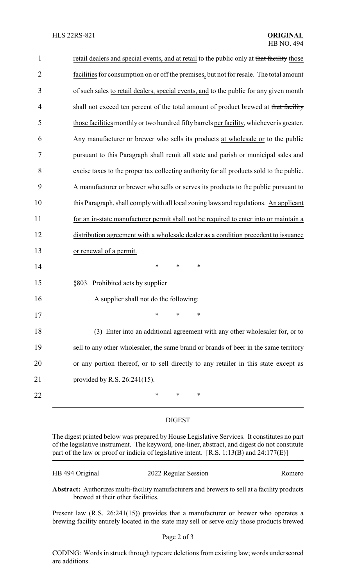| retail dealers and special events, and at retail to the public only at that facility those |
|--------------------------------------------------------------------------------------------|
| facilities for consumption on or off the premises, but not for resale. The total amount    |
| of such sales to retail dealers, special events, and to the public for any given month     |
| shall not exceed ten percent of the total amount of product brewed at that facility        |
| those facilities monthly or two hundred fifty barrels per facility, whichever is greater.  |
| Any manufacturer or brewer who sells its products at wholesale or to the public            |
| pursuant to this Paragraph shall remit all state and parish or municipal sales and         |
| excise taxes to the proper tax collecting authority for all products sold to the public.   |
| A manufacturer or brewer who sells or serves its products to the public pursuant to        |
| this Paragraph, shall comply with all local zoning laws and regulations. An applicant      |
| for an in-state manufacturer permit shall not be required to enter into or maintain a      |
| distribution agreement with a wholesale dealer as a condition precedent to issuance        |
| or renewal of a permit.                                                                    |
| $\ast$<br>$\ast$<br>∗                                                                      |
| §803. Prohibited acts by supplier                                                          |
|                                                                                            |
| A supplier shall not do the following:                                                     |
|                                                                                            |
| (3) Enter into an additional agreement with any other wholesaler for, or to                |
| sell to any other wholesaler, the same brand or brands of beer in the same territory       |
| or any portion thereof, or to sell directly to any retailer in this state except as        |
| provided by R.S. 26:241(15).                                                               |
|                                                                                            |

## DIGEST

The digest printed below was prepared by House Legislative Services. It constitutes no part of the legislative instrument. The keyword, one-liner, abstract, and digest do not constitute part of the law or proof or indicia of legislative intent. [R.S. 1:13(B) and 24:177(E)]

| HB 494 Original | 2022 Regular Session | Romero |
|-----------------|----------------------|--------|
|-----------------|----------------------|--------|

**Abstract:** Authorizes multi-facility manufacturers and brewers to sell at a facility products brewed at their other facilities.

Present law (R.S. 26:241(15)) provides that a manufacturer or brewer who operates a brewing facility entirely located in the state may sell or serve only those products brewed

CODING: Words in struck through type are deletions from existing law; words underscored are additions.